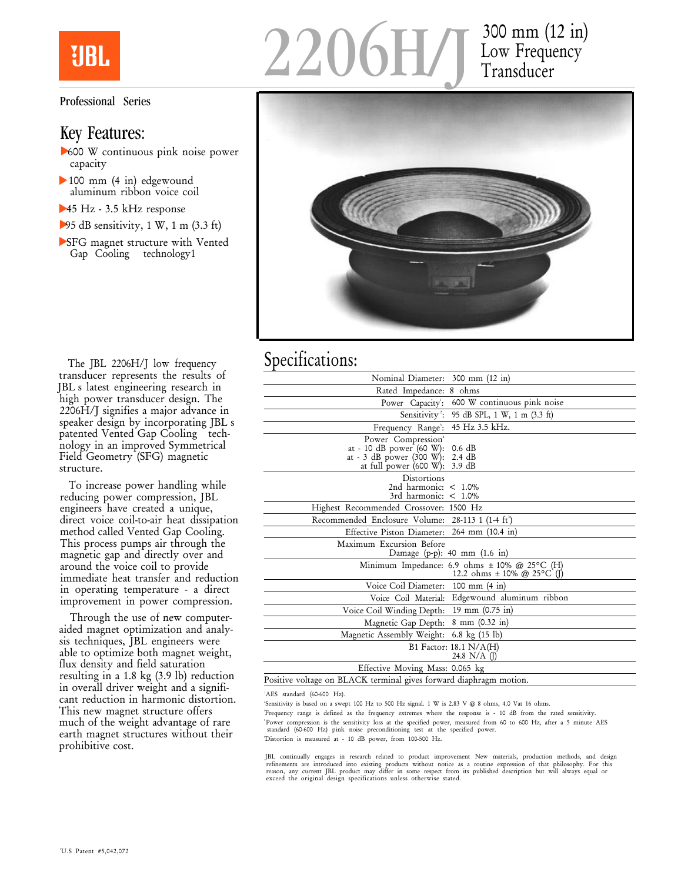

Professional Series

## Key Features:

- 600 W continuous pink noise power capacity
- 100 mm (4 in) edgewound aluminum ribbon voice coil
- 45 Hz 3.5 kHz response
- $-95$  dB sensitivity, 1 W, 1 m (3.3 ft)
- SFG magnet structure with Vented Gap Cooling technology1





## Specifications:

| Nominal Diameter: 300 mm (12 in)                                                                                                                     |                                                                                    |
|------------------------------------------------------------------------------------------------------------------------------------------------------|------------------------------------------------------------------------------------|
| Rated Impedance: 8 ohms                                                                                                                              |                                                                                    |
| Power Capacity:                                                                                                                                      | 600 W continuous pink noise                                                        |
| Sensitivity <sup>2</sup> :                                                                                                                           | 95 dB SPL, 1 W, 1 m (3.3 ft)                                                       |
| Frequency Range <sup>3</sup> :                                                                                                                       | 45 Hz 3.5 kHz.                                                                     |
| Power Compression <sup>4</sup><br>at - 10 dB power $(60 \text{ W})$ :<br>at - 3 dB power (300 W): 2.4 dB<br>at full power $(600 \text{ W})$ : 3.9 dB | $0.6$ dB                                                                           |
| Distortions<br>2nd harmonic: $< 1.0\%$<br>3rd harmonic: $< 1.0\%$                                                                                    |                                                                                    |
| Highest Recommended Crossover: 1500 Hz                                                                                                               |                                                                                    |
| Recommended Enclosure Volume: 28-113 1 (1-4 ft)                                                                                                      |                                                                                    |
| Effective Piston Diameter: 264 mm (10.4 in)                                                                                                          |                                                                                    |
| Maximum Excursion Before                                                                                                                             | Damage (p-p): 40 mm $(1.6 \text{ in})$                                             |
|                                                                                                                                                      | Minimum Impedance: 6.9 ohms $\pm$ 10% @ 25°C (H)<br>12.2 ohms $\pm$ 10% @ 25°C (J) |
| Voice Coil Diameter: 100 mm (4 in)                                                                                                                   |                                                                                    |
|                                                                                                                                                      | Voice Coil Material: Edgewound aluminum ribbon                                     |
| Voice Coil Winding Depth: 19 mm (0.75 in)                                                                                                            |                                                                                    |
| Magnetic Gap Depth: 8 mm (0.32 in)                                                                                                                   |                                                                                    |
| Magnetic Assembly Weight: 6.8 kg (15 lb)                                                                                                             |                                                                                    |
|                                                                                                                                                      | B1 Factor: 18.1 N/A(H)<br>24.8 $N/A$ (J)                                           |
| Effective Moving Mass: 0.065 kg                                                                                                                      |                                                                                    |
| Positive voltage on BLACK terminal gives forward diaphragm motion.                                                                                   |                                                                                    |

'AES standard (60-600 Hz).

 Sensitivity is based on a swept 100 Hz to 500 Hz signal. 1 W is 2.83 V @ 8 ohms, 4.0 Vat 16 ohms. Frequency range is defined as the frequency extremes where the response is - 10 dB from the rated sensitivity. Power compression is the sensitivity loss at the specified power, measured from 60 to 600 Hz, after a 5 minute AES standard (60-600 Hz) pink noise preconditioning test at the specified power. Distortion is measured at - 10 dB power, from 100-500 Hz.

JBL continually engages in research related to product improvement New materials, production methods, and design<br>refinements are introduced into existing products without notice as a routine expression of that philosophy.

The JBL 2206H/J low frequency transducer represents the results of JBL's latest engineering research in high power transducer design. The 2206H/J signifies a major advance in speaker design by incorporating JBL's patented Vented Gap Cooling technology in an improved Symmetrical Field Geometry (SFG) magnetic structure.

To increase power handling while reducing power compression, JBL engineers have created a unique, direct voice coil-to-air heat dissipation method called Vented Gap Cooling. This process pumps air through the magnetic gap and directly over and around the voice coil to provide immediate heat transfer and reduction in operating temperature - a direct improvement in power compression.

Through the use of new computeraided magnet optimization and analysis techniques, JBL engineers were able to optimize both magnet weight, flux density and field saturation resulting in a 1.8 kg (3.9 lb) reduction in overall driver weight and a significant reduction in harmonic distortion. This new magnet structure offers much of the weight advantage of rare earth magnet structures without their prohibitive cost.